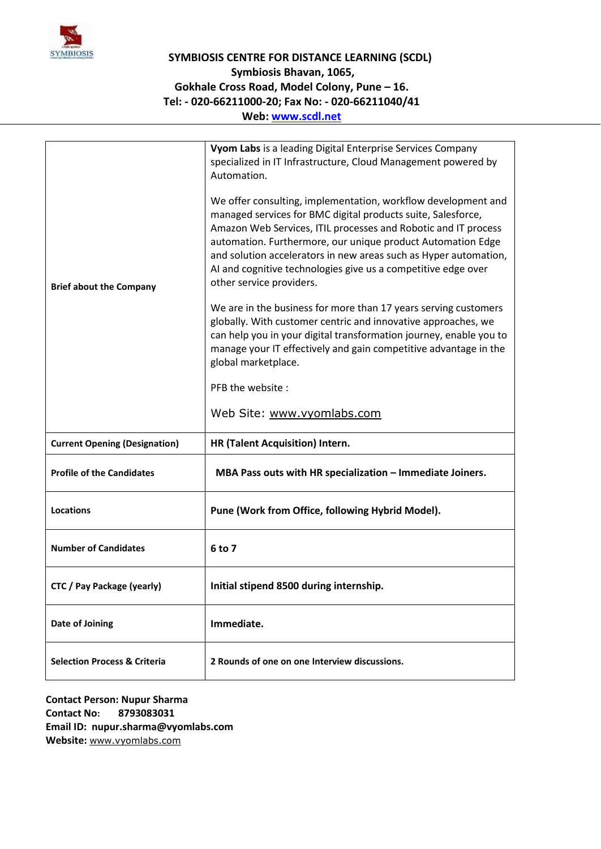

## **SYMBIOSIS CENTRE FOR DISTANCE LEARNING (SCDL) Symbiosis Bhavan, 1065, Gokhale Cross Road, Model Colony, Pune – 16. Tel: - 020-66211000-20; Fax No: - 020-66211040/41 Web: [www.scdl.net](http://www.scdl.net/)**

| <b>Brief about the Company</b>          | Vyom Labs is a leading Digital Enterprise Services Company<br>specialized in IT Infrastructure, Cloud Management powered by<br>Automation.<br>We offer consulting, implementation, workflow development and<br>managed services for BMC digital products suite, Salesforce,<br>Amazon Web Services, ITIL processes and Robotic and IT process<br>automation. Furthermore, our unique product Automation Edge<br>and solution accelerators in new areas such as Hyper automation,<br>Al and cognitive technologies give us a competitive edge over<br>other service providers.<br>We are in the business for more than 17 years serving customers<br>globally. With customer centric and innovative approaches, we<br>can help you in your digital transformation journey, enable you to<br>manage your IT effectively and gain competitive advantage in the<br>global marketplace.<br>PFB the website:<br>Web Site: www.vyomlabs.com |
|-----------------------------------------|--------------------------------------------------------------------------------------------------------------------------------------------------------------------------------------------------------------------------------------------------------------------------------------------------------------------------------------------------------------------------------------------------------------------------------------------------------------------------------------------------------------------------------------------------------------------------------------------------------------------------------------------------------------------------------------------------------------------------------------------------------------------------------------------------------------------------------------------------------------------------------------------------------------------------------------|
| <b>Current Opening (Designation)</b>    | HR (Talent Acquisition) Intern.                                                                                                                                                                                                                                                                                                                                                                                                                                                                                                                                                                                                                                                                                                                                                                                                                                                                                                      |
| <b>Profile of the Candidates</b>        | MBA Pass outs with HR specialization - Immediate Joiners.                                                                                                                                                                                                                                                                                                                                                                                                                                                                                                                                                                                                                                                                                                                                                                                                                                                                            |
| <b>Locations</b>                        | Pune (Work from Office, following Hybrid Model).                                                                                                                                                                                                                                                                                                                                                                                                                                                                                                                                                                                                                                                                                                                                                                                                                                                                                     |
| <b>Number of Candidates</b>             | 6 to 7                                                                                                                                                                                                                                                                                                                                                                                                                                                                                                                                                                                                                                                                                                                                                                                                                                                                                                                               |
| CTC / Pay Package (yearly)              | Initial stipend 8500 during internship.                                                                                                                                                                                                                                                                                                                                                                                                                                                                                                                                                                                                                                                                                                                                                                                                                                                                                              |
| Date of Joining                         | Immediate.                                                                                                                                                                                                                                                                                                                                                                                                                                                                                                                                                                                                                                                                                                                                                                                                                                                                                                                           |
| <b>Selection Process &amp; Criteria</b> | 2 Rounds of one on one Interview discussions.                                                                                                                                                                                                                                                                                                                                                                                                                                                                                                                                                                                                                                                                                                                                                                                                                                                                                        |

**Contact Person: Nupur Sharma Contact No: 8793083031 Email ID: nupur.sharma@vyomlabs.com Website:** [www.vyomlabs.com](http://www.vyomlabs.com/)